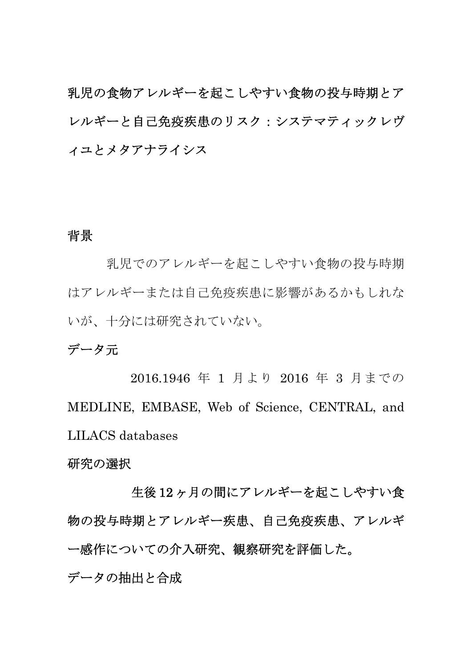乳児の食物アレルギーを起こしやすい食物の投与時期とア レルギーと自己免疫疾患のリスク:システマティックレヴ ィユとメタアナライシス

## 背景

乳児でのアレルギーを起こしやすい食物の投与時期 はアレルギーまたは自己免疫疾患に影響があるかもしれな いが、十分には研究されていない。

# データ元

 2016.1946 年 1 月より 2016 年 3 月までの MEDLINE, EMBASE, Web of Science, CENTRAL, and LILACS databases

#### 研究の選択

 生後 12 ヶ月の間にアレルギーを起こしやすい食 物の投与時期とアレルギー疾患、自己免疫疾患、アレルギ ー感作についての介入研究、観察研究を評価した。 データの抽出と合成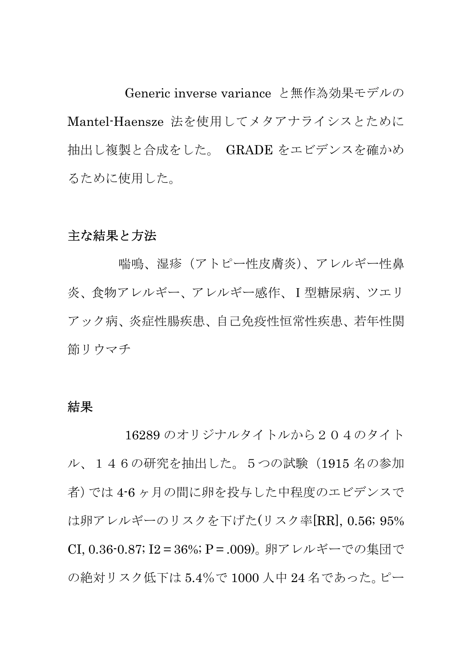Generic inverse variance と無作為効果モデルの Mantel-Haensze 法を使用してメタアナライシスとために 抽出し複製と合成をした。 GRADE をエビデンスを確かめ るために使用した。

## 主な結果と方法

 喘鳴、湿疹(アトピー性皮膚炎)、アレルギー性鼻 炎、食物アレルギー、アレルギー感作、Ⅰ型糖尿病、ツエリ アック病、炎症性腸疾患、自己免疫性恒常性疾患、若年性関 節リウマチ

#### 結果

 16289 のオリジナルタイトルから204のタイト ル、146の研究を抽出した。5つの試験(1915 名の参加 者)では 4-6 ヶ月の間に卵を投与した中程度のエビデンスで は卵アレルギーのリスクを下げた(リスク率[RR], 0.56; 95% CI, 0.36-0.87; I2 = 36%; P = .009)。卵アレルギーでの集団で の絶対リスク低下は 5.4%で 1000 人中 24 名であった。ピー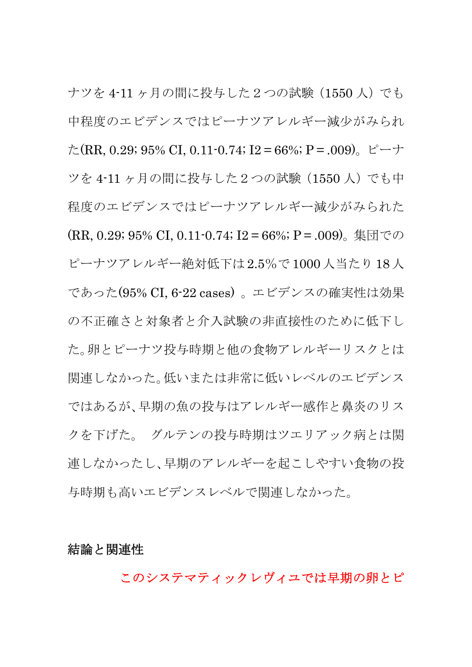ナツを 4-11 ヶ月の間に投与した2つの試験(1550 人)でも 中程度のエビデンスではピーナツアレルギー減少がみられ た(RR, 0.29; 95% CI, 0.11-0.74; I2 = 66%; P = .009)。ピーナ ツを 4-11 ヶ月の間に投与した2つの試験(1550 人)でも中 程度のエビデンスではピーナツアレルギー減少がみられた (RR, 0.29; 95% CI, 0.11-0.74; I2 = 66%; P = .009)。集団での ピーナツアレルギー絶対低下は 2.5%で 1000人当たり 18人 であった(95% CI, 6-22 cases) 。エビデンスの確実性は効果 の不正確さと対象者と介入試験の非直接性のために低下し た。卵とピーナツ投与時期と他の食物アレルギーリスクとは 関連しなかった。低いまたは非常に低いレベルのエビデンス ではあるが、早期の魚の投与はアレルギー感作と鼻炎のリス クを下げた。 グルテンの投与時期はツエリアック病とは関 連しなかったし、早期のアレルギーを起こしやすい食物の投 与時期も高いエビデンスレベルで関連しなかった。

### 結論と関連性

このシステマティックレヴィユでは早期の卵とピ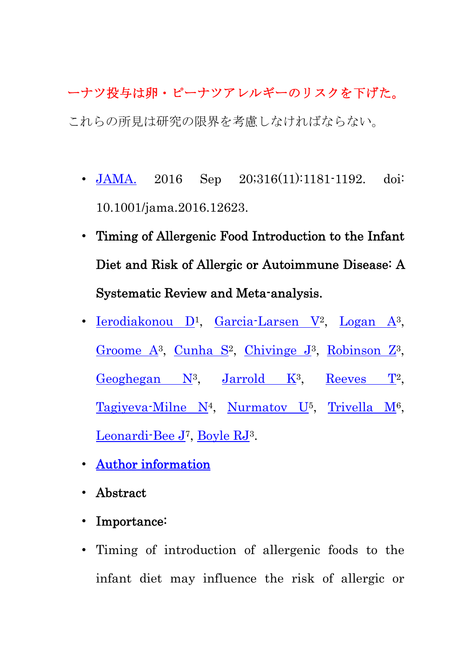# ーナツ投与は卵・ピーナツアレルギーのリスクを下げた。 これらの所見は研究の限界を考慮しなければならない。

- JAMA. 2016 Sep 20;316(11):1181-1192. doi: 10.1001/jama.2016.12623.
- Timing of Allergenic Food Introduction to the Infant Diet and Risk of Allergic or Autoimmune Disease: A Systematic Review and Meta-analysis.
- <u>Ierodiakonou D</u><sup>1</sup>, Garcia-Larsen V<sup>2</sup>, Logan A<sup>3</sup>, Groome  $A^3$ , Cunha  $S^2$ , Chivinge  $J^3$ , Robinson  $Z^3$ , Geoghegan  $N^3$ , Jarrold  $K^3$ , Reeves  $T^2$ , Tagiyeva-Milne  $N^4$ , Nurmatov  $U^5$ , Trivella  $M^6$ , Leonardi-Bee J7, Boyle RJ3.
- Author information
- Abstract
- Importance:
- Timing of introduction of allergenic foods to the infant diet may influence the risk of allergic or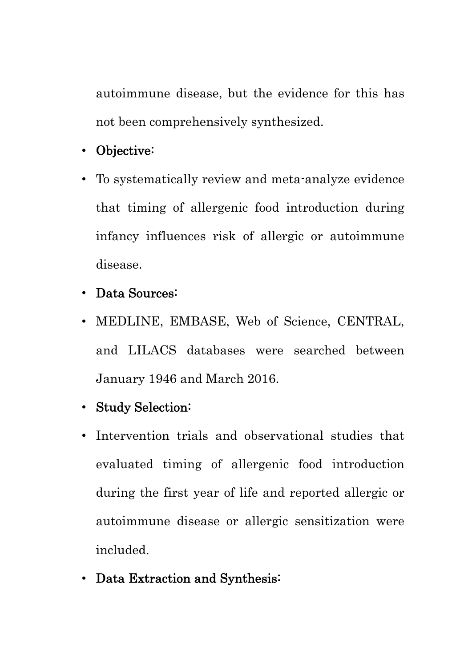autoimmune disease, but the evidence for this has not been comprehensively synthesized.

- Objective:
- To systematically review and meta-analyze evidence that timing of allergenic food introduction during infancy influences risk of allergic or autoimmune disease.
- Data Sources:
- MEDLINE, EMBASE, Web of Science, CENTRAL, and LILACS databases were searched between January 1946 and March 2016.
- Study Selection:
- Intervention trials and observational studies that evaluated timing of allergenic food introduction during the first year of life and reported allergic or autoimmune disease or allergic sensitization were included.
- Data Extraction and Synthesis: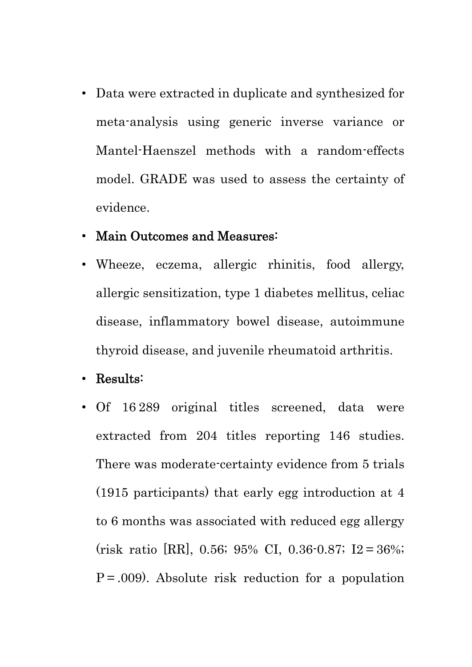• Data were extracted in duplicate and synthesized for meta-analysis using generic inverse variance or Mantel-Haenszel methods with a random-effects model. GRADE was used to assess the certainty of evidence.

## • Main Outcomes and Measures:

• Wheeze, eczema, allergic rhinitis, food allergy, allergic sensitization, type 1 diabetes mellitus, celiac disease, inflammatory bowel disease, autoimmune thyroid disease, and juvenile rheumatoid arthritis.

• Results:

• Of 16 289 original titles screened, data were extracted from 204 titles reporting 146 studies. There was moderate-certainty evidence from 5 trials (1915 participants) that early egg introduction at 4 to 6 months was associated with reduced egg allergy (risk ratio [RR], 0.56; 95% CI, 0.36-0.87; I2 = 36%;  $P = .009$ . Absolute risk reduction for a population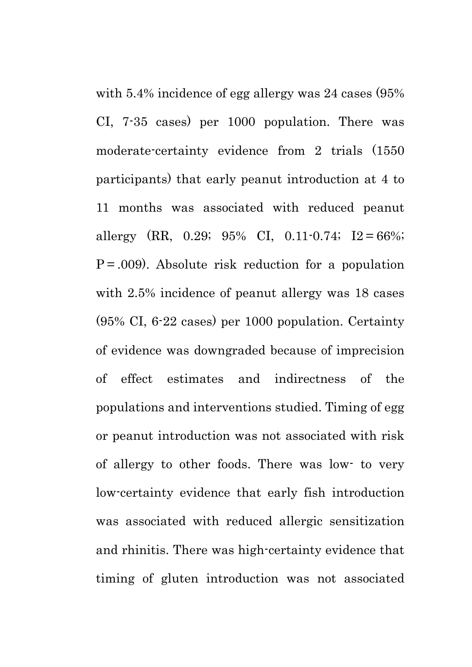with 5.4% incidence of egg allergy was 24 cases (95% CI, 7-35 cases) per 1000 population. There was moderate-certainty evidence from 2 trials (1550 participants) that early peanut introduction at 4 to 11 months was associated with reduced peanut allergy  $(RR, 0.29; 95\% \text{ CI}, 0.11 \cdot 0.74; I2 = 66\%;$  $P = .009$ ). Absolute risk reduction for a population with 2.5% incidence of peanut allergy was 18 cases (95% CI, 6-22 cases) per 1000 population. Certainty of evidence was downgraded because of imprecision of effect estimates and indirectness of the populations and interventions studied. Timing of egg or peanut introduction was not associated with risk of allergy to other foods. There was low- to very low-certainty evidence that early fish introduction was associated with reduced allergic sensitization and rhinitis. There was high-certainty evidence that timing of gluten introduction was not associated